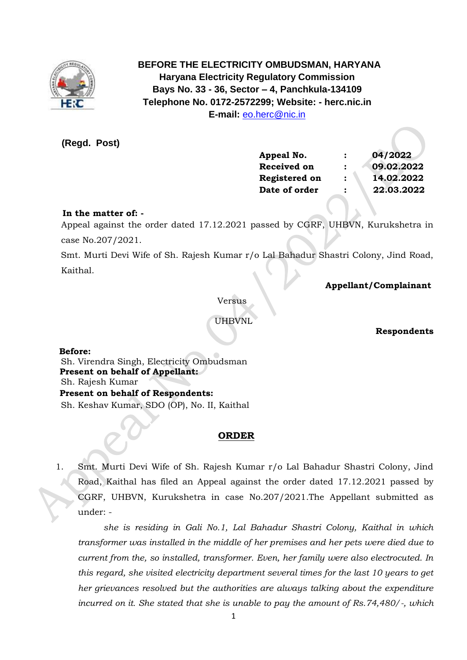

 **BEFORE THE ELECTRICITY OMBUDSMAN, HARYANA Haryana Electricity Regulatory Commission Bays No. 33 - 36, Sector – 4, Panchkula-134109 Telephone No. 0172-2572299; Website: - herc.nic.in E-mail:** [eo.herc@nic.in](mailto:eo.herc@nic.in)

**(Regd. Post)**

| Appeal No.           | 04/2022    |
|----------------------|------------|
| <b>Received on</b>   | 09.02.2022 |
| <b>Registered on</b> | 14.02.2022 |
| Date of order        | 22.03.2022 |
|                      |            |

## **In the matter of: -**

 Appeal against the order dated 17.12.2021 passed by CGRF, UHBVN, Kurukshetra in case No.207/2021.

Smt. Murti Devi Wife of Sh. Rajesh Kumar r/o Lal Bahadur Shastri Colony, Jind Road, Kaithal.

 **Appellant/Complainant** 

Versus

UHBVNL

 **Respondents**

 **Before:** 

 Sh. Virendra Singh, Electricity Ombudsman  **Present on behalf of Appellant:**  Sh. Rajesh Kumar **Present on behalf of Respondents:**  Sh. Keshav Kumar, SDO (OP), No. II, Kaithal

# **ORDER**

1. Smt. Murti Devi Wife of Sh. Rajesh Kumar r/o Lal Bahadur Shastri Colony, Jind Road, Kaithal has filed an Appeal against the order dated 17.12.2021 passed by CGRF, UHBVN, Kurukshetra in case No.207/2021.The Appellant submitted as under: -

*she is residing in Gali No.1, Lal Bahadur Shastri Colony, Kaithal in which transformer was installed in the middle of her premises and her pets were died due to current from the, so installed, transformer. Even, her family were also electrocuted. In this regard, she visited electricity department several times for the last 10 years to get her grievances resolved but the authorities are always talking about the expenditure incurred on it. She stated that she is unable to pay the amount of Rs.74,480/-, which*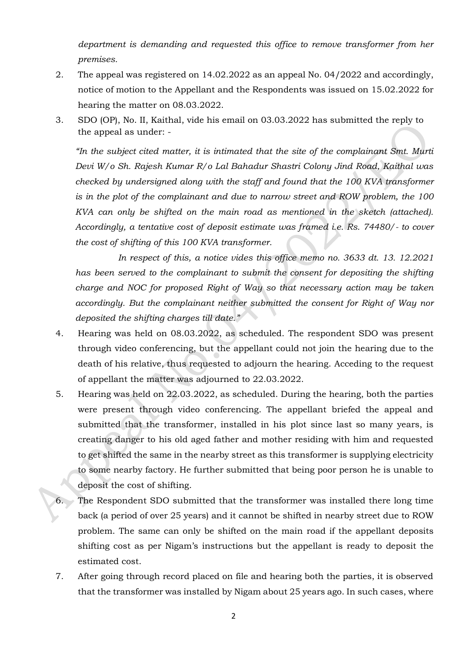*department is demanding and requested this office to remove transformer from her premises.*

- 2. The appeal was registered on 14.02.2022 as an appeal No. 04/2022 and accordingly, notice of motion to the Appellant and the Respondents was issued on 15.02.2022 for hearing the matter on 08.03.2022.
- 3. SDO (OP), No. II, Kaithal, vide his email on 03.03.2022 has submitted the reply to the appeal as under: -

*"In the subject cited matter, it is intimated that the site of the complainant Smt. Murti Devi W/o Sh. Rajesh Kumar R/o Lal Bahadur Shastri Colony Jind Road, Kaithal was checked by undersigned along with the staff and found that the 100 KVA transformer is in the plot of the complainant and due to narrow street and ROW problem, the 100 KVA can only be shifted on the main road as mentioned in the sketch (attached). Accordingly, a tentative cost of deposit estimate was framed i.e. Rs. 74480/- to cover the cost of shifting of this 100 KVA transformer.*

*In respect of this, a notice vides this office memo no. 3633 dt. 13. 12.2021 has been served to the complainant to submit the consent for depositing the shifting charge and NOC for proposed Right of Way so that necessary action may be taken accordingly. But the complainant neither submitted the consent for Right of Way nor deposited the shifting charges till date."*

- 4. Hearing was held on 08.03.2022, as scheduled. The respondent SDO was present through video conferencing, but the appellant could not join the hearing due to the death of his relative, thus requested to adjourn the hearing. Acceding to the request of appellant the matter was adjourned to 22.03.2022.
- 5. Hearing was held on 22.03.2022, as scheduled. During the hearing, both the parties were present through video conferencing. The appellant briefed the appeal and submitted that the transformer, installed in his plot since last so many years, is creating danger to his old aged father and mother residing with him and requested to get shifted the same in the nearby street as this transformer is supplying electricity to some nearby factory. He further submitted that being poor person he is unable to deposit the cost of shifting.
- 6. The Respondent SDO submitted that the transformer was installed there long time back (a period of over 25 years) and it cannot be shifted in nearby street due to ROW problem. The same can only be shifted on the main road if the appellant deposits shifting cost as per Nigam's instructions but the appellant is ready to deposit the estimated cost.
- 7. After going through record placed on file and hearing both the parties, it is observed that the transformer was installed by Nigam about 25 years ago. In such cases, where